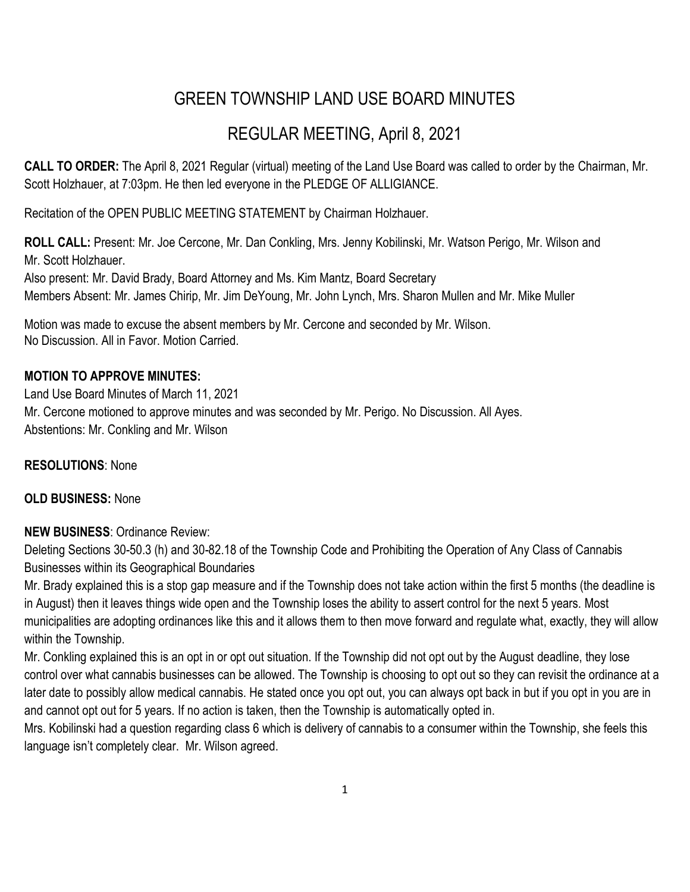# GREEN TOWNSHIP LAND USE BOARD MINUTES

## REGULAR MEETING, April 8, 2021

**CALL TO ORDER:** The April 8, 2021 Regular (virtual) meeting of the Land Use Board was called to order by the Chairman, Mr. Scott Holzhauer, at 7:03pm. He then led everyone in the PLEDGE OF ALLIGIANCE.

Recitation of the OPEN PUBLIC MEETING STATEMENT by Chairman Holzhauer.

**ROLL CALL:** Present: Mr. Joe Cercone, Mr. Dan Conkling, Mrs. Jenny Kobilinski, Mr. Watson Perigo, Mr. Wilson and Mr. Scott Holzhauer. Also present: Mr. David Brady, Board Attorney and Ms. Kim Mantz, Board Secretary Members Absent: Mr. James Chirip, Mr. Jim DeYoung, Mr. John Lynch, Mrs. Sharon Mullen and Mr. Mike Muller

Motion was made to excuse the absent members by Mr. Cercone and seconded by Mr. Wilson. No Discussion. All in Favor. Motion Carried.

### **MOTION TO APPROVE MINUTES:**

Land Use Board Minutes of March 11, 2021 Mr. Cercone motioned to approve minutes and was seconded by Mr. Perigo. No Discussion. All Ayes. Abstentions: Mr. Conkling and Mr. Wilson

#### **RESOLUTIONS**: None

#### **OLD BUSINESS:** None

#### **NEW BUSINESS**: Ordinance Review:

Deleting Sections 30-50.3 (h) and 30-82.18 of the Township Code and Prohibiting the Operation of Any Class of Cannabis Businesses within its Geographical Boundaries

Mr. Brady explained this is a stop gap measure and if the Township does not take action within the first 5 months (the deadline is in August) then it leaves things wide open and the Township loses the ability to assert control for the next 5 years. Most municipalities are adopting ordinances like this and it allows them to then move forward and regulate what, exactly, they will allow within the Township.

Mr. Conkling explained this is an opt in or opt out situation. If the Township did not opt out by the August deadline, they lose control over what cannabis businesses can be allowed. The Township is choosing to opt out so they can revisit the ordinance at a later date to possibly allow medical cannabis. He stated once you opt out, you can always opt back in but if you opt in you are in and cannot opt out for 5 years. If no action is taken, then the Township is automatically opted in.

Mrs. Kobilinski had a question regarding class 6 which is delivery of cannabis to a consumer within the Township, she feels this language isn't completely clear. Mr. Wilson agreed.